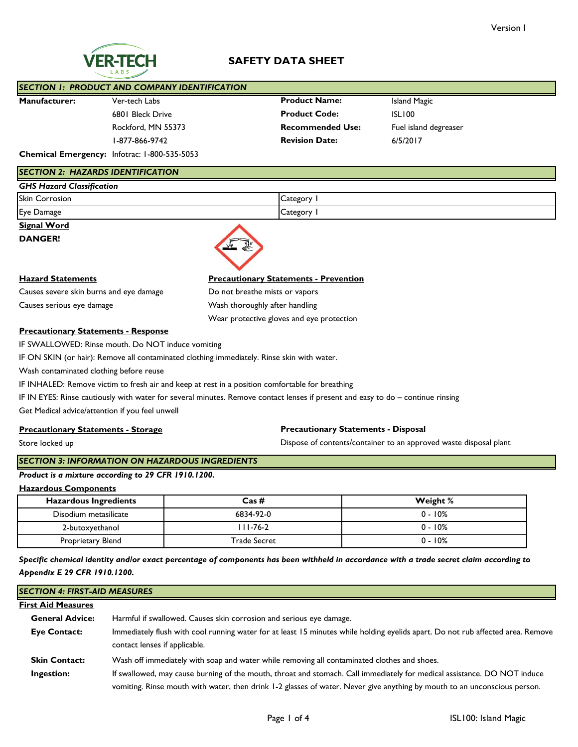# **SAFETY DATA SHEET**

|                      | <b>SECTION 1: PRODUCT AND COMPANY IDENTIFICATION</b> |                         |                       |
|----------------------|------------------------------------------------------|-------------------------|-----------------------|
| <b>Manufacturer:</b> | Ver-tech Labs                                        | <b>Product Name:</b>    | Island Magic          |
|                      | 6801 Bleck Drive                                     | <b>Product Code:</b>    | ISLI00                |
|                      | Rockford, MN 55373                                   | <b>Recommended Use:</b> | Fuel island degreaser |
|                      | l-877-866-9742                                       | <b>Revision Date:</b>   | 6/5/2017              |
|                      |                                                      |                         |                       |

**Chemical Emergency:** Infotrac: 1-800-535-5053

#### *SECTION 2: HAZARDS IDENTIFICATION*

| <b>GHS Hazard Classification</b> |          |
|----------------------------------|----------|
| <b>Skin Corrosion</b>            | Category |
| Eye Damage                       | Category |

**Signal Word**

**DANGER!**



Causes severe skin burns and eye damage Do not breathe mists or vapors Causes serious eye damage Causes serious eye damage Wash thoroughly after handling

# **Hazard Statements Precautionary Statements - Prevention**

Wear protective gloves and eye protection

## **Precautionary Statements - Response**

IF SWALLOWED: Rinse mouth. Do NOT induce vomiting

IF ON SKIN (or hair): Remove all contaminated clothing immediately. Rinse skin with water.

Wash contaminated clothing before reuse

IF INHALED: Remove victim to fresh air and keep at rest in a position comfortable for breathing

IF IN EYES: Rinse cautiously with water for several minutes. Remove contact lenses if present and easy to do – continue rinsing

Get Medical advice/attention if you feel unwell

#### **Precautionary Statements - Storage**

Store locked up

## **Precautionary Statements - Disposal**

Dispose of contents/container to an approved waste disposal plant

## *SECTION 3: INFORMATION ON HAZARDOUS INGREDIENTS*

*Product is a mixture according to 29 CFR 1910.1200.*

**Hazardous Components**

| <b>Hazardous Ingredients</b> | Cas #               | Weight %   |
|------------------------------|---------------------|------------|
| Disodium metasilicate        | 6834-92-0           | $0 - 10\%$ |
| 2-butoxyethanol              | $11 - 76 - 2$       | $0 - 10\%$ |
| Proprietary Blend            | <b>Trade Secret</b> | $0 - 10\%$ |

*Specific chemical identity and/or exact percentage of components has been withheld in accordance with a trade secret claim according to Appendix E 29 CFR 1910.1200.*

# *SECTION 4: FIRST-AID MEASURES*

#### **First Aid Measures General Advice: Eye Contact: Skin Contact: Ingestion:** Immediately flush with cool running water for at least 15 minutes while holding eyelids apart. Do not rub affected area. Remove contact lenses if applicable. Harmful if swallowed. Causes skin corrosion and serious eye damage. If swallowed, may cause burning of the mouth, throat and stomach. Call immediately for medical assistance. DO NOT induce vomiting. Rinse mouth with water, then drink 1-2 glasses of water. Never give anything by mouth to an unconscious person. Wash off immediately with soap and water while removing all contaminated clothes and shoes.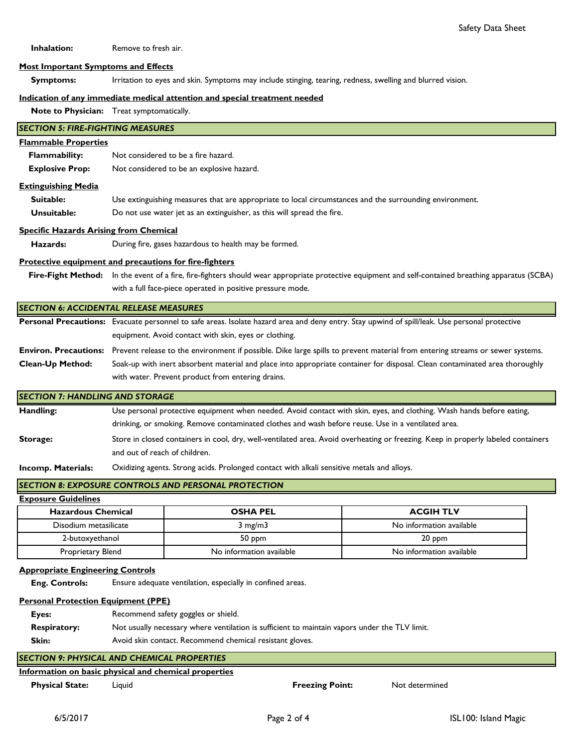**Inhalation:** Remove to fresh air.

#### **Most Important Symptoms and Effects**

 **Symptoms:** Irritation to eyes and skin. Symptoms may include stinging, tearing, redness, swelling and blurred vision.

#### **Indication of any immediate medical attention and special treatment needed**

**Note to Physician:** Treat symptomatically.

# **Flammable Properties Flammability: Explosive Prop:** Not considered to be an explosive hazard.  **Suitable: Extinguishing Media** Use extinguishing measures that are appropriate to local circumstances and the surrounding environment. *SECTION 5: FIRE-FIGHTING MEASURES* Not considered to be a fire hazard.

 **Unsuitable:** Do not use water jet as an extinguisher, as this will spread the fire.

#### **Specific Hazards Arising from Chemical**

 **Hazards:** During fire, gases hazardous to health may be formed.

#### **Protective equipment and precautions for fire-fighters**

**Fire-Fight Method:** In the event of a fire, fire-fighters should wear appropriate protective equipment and self-contained breathing apparatus (SCBA) with a full face-piece operated in positive pressure mode.

#### *SECTION 6: ACCIDENTAL RELEASE MEASURES*

Personal Precautions: Evacuate personnel to safe areas. Isolate hazard area and deny entry. Stay upwind of spill/leak. Use personal protective equipment. Avoid contact with skin, eyes or clothing.

**Environ. Precautions: Clean-Up Method:** Prevent release to the environment if possible. Dike large spills to prevent material from entering streams or sewer systems. Soak-up with inert absorbent material and place into appropriate container for disposal. Clean contaminated area thoroughly with water. Prevent product from entering drains.

## *SECTION 7: HANDLING AND STORAGE*

| Handling: | Use personal protective equipment when needed. Avoid contact with skin, eyes, and clothing. Wash hands before eating,             |
|-----------|-----------------------------------------------------------------------------------------------------------------------------------|
|           | drinking, or smoking. Remove contaminated clothes and wash before reuse. Use in a ventilated area.                                |
| Storage:  | Store in closed containers in cool, dry, well-ventilated area. Avoid overheating or freezing. Keep in properly labeled containers |
|           | and out of reach of children.                                                                                                     |

**Incomp. Materials:** Oxidizing agents. Strong acids. Prolonged contact with alkali sensitive metals and alloys.

## *SECTION 8: EXPOSURE CONTROLS AND PERSONAL PROTECTION*

**Exposure Guidelines**

| <b>Hazardous Chemical</b> | <b>OSHA PEL</b>          | <b>ACGIH TLV</b>         |
|---------------------------|--------------------------|--------------------------|
| Disodium metasilicate     | $3 \text{ mg/m}$         | No information available |
| 2-butoxyethanol           | $50$ ppm                 | $20$ ppm                 |
| Proprietary Blend         | No information available | No information available |

#### **Appropriate Engineering Controls**

 **Eng. Controls:** Ensure adequate ventilation, especially in confined areas.

### **Personal Protection Equipment (PPE)**

| Eyes:               | Recommend safety goggles or shield.                                                           |
|---------------------|-----------------------------------------------------------------------------------------------|
| <b>Respiratory:</b> | Not usually necessary where ventilation is sufficient to maintain vapors under the TLV limit. |
| Skin:               | Avoid skin contact. Recommend chemical resistant gloves.                                      |

# *SECTION 9: PHYSICAL AND CHEMICAL PROPERTIES*

#### **Information on basic physical and chemical properties**

 **Physical State:** Liquid **Freezing Point:** Not determined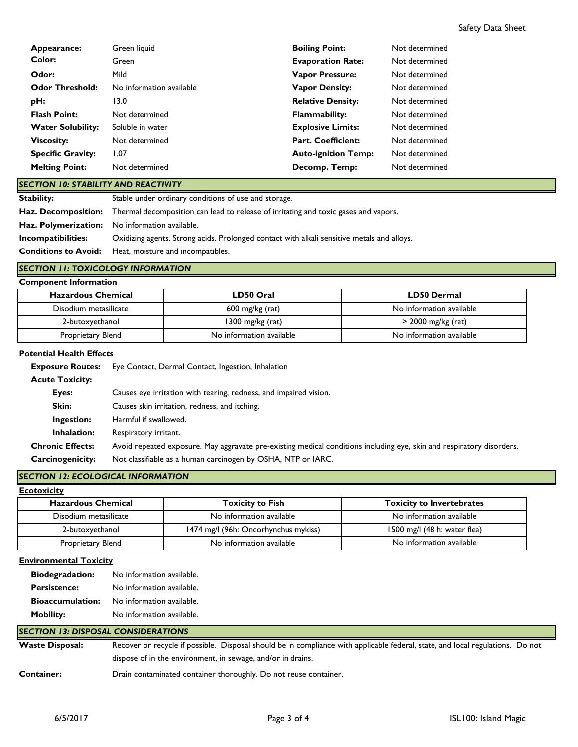| Appearance:              | Green liquid             | <b>Boiling Point:</b>      | Not determined |
|--------------------------|--------------------------|----------------------------|----------------|
| Color:                   | Green                    | <b>Evaporation Rate:</b>   | Not determined |
| Odor:                    | Mild                     | <b>Vapor Pressure:</b>     | Not determined |
| <b>Odor Threshold:</b>   | No information available | <b>Vapor Density:</b>      | Not determined |
| pH:                      | 13.0                     | <b>Relative Density:</b>   | Not determined |
| <b>Flash Point:</b>      | Not determined           | <b>Flammability:</b>       | Not determined |
| <b>Water Solubility:</b> | Soluble in water         | <b>Explosive Limits:</b>   | Not determined |
| <b>Viscosity:</b>        | Not determined           | <b>Part. Coefficient:</b>  | Not determined |
| <b>Specific Gravity:</b> | 1.07                     | <b>Auto-ignition Temp:</b> | Not determined |
| <b>Melting Point:</b>    | Not determined           | Decomp. Temp:              | Not determined |

#### *SECTION 10: STABILITY AND REACTIVITY*

**Stability: Haz. Decomposition: Haz. Polymerization:** No information available. **Incompatibilities:** Oxidizing agents. Strong acids. Prolonged contact with alkali sensitive metals and alloys. **Conditions to Avoid:** Heat, moisture and incompatibles. Stable under ordinary conditions of use and storage. Thermal decomposition can lead to release of irritating and toxic gases and vapors.

#### *SECTION 11: TOXICOLOGY INFORMATION*

| <b>Component Information</b> |                          |                          |
|------------------------------|--------------------------|--------------------------|
| <b>Hazardous Chemical</b>    | LD50 Oral                | <b>LD50 Dermal</b>       |
| Disodium metasilicate        | $600$ mg/kg (rat)        | No information available |
| 2-butoxyethanol              | 1300 mg/ $kg$ (rat)      | $>$ 2000 mg/kg (rat)     |
| Proprietary Blend            | No information available | No information available |

#### **Potential Health Effects**

| <b>Exposure Routes:</b> | Eye Contact, Dermal Contact, Ingestion, Inhalation                                                                    |
|-------------------------|-----------------------------------------------------------------------------------------------------------------------|
| <b>Acute Toxicity:</b>  |                                                                                                                       |
| Eyes:                   | Causes eye irritation with tearing, redness, and impaired vision.                                                     |
| Skin:                   | Causes skin irritation, redness, and itching.                                                                         |
| Ingestion:              | Harmful if swallowed.                                                                                                 |
| Inhalation:             | Respiratory irritant.                                                                                                 |
| <b>Chronic Effects:</b> | Avoid repeated exposure. May aggravate pre-existing medical conditions including eye, skin and respiratory disorders. |
| <b>Carcinogenicity:</b> | Not classifiable as a human carcinogen by OSHA, NTP or IARC.                                                          |

## *SECTION 12: ECOLOGICAL INFORMATION*

| <b>Ecotoxicity</b>        |                                      |                                  |
|---------------------------|--------------------------------------|----------------------------------|
| <b>Hazardous Chemical</b> | <b>Toxicity to Fish</b>              | <b>Toxicity to Invertebrates</b> |
| Disodium metasilicate     | No information available             | No information available         |
| 2-butoxyethanol           | 1474 mg/l (96h: Oncorhynchus mykiss) | 1500 mg/l (48 h: water flea)     |
| Proprietary Blend         | No information available             | No information available         |

## **Environmental Toxicity**

| <b>Biodegradation:</b>  | No information available. |
|-------------------------|---------------------------|
| <b>Persistence:</b>     | No information available. |
| <b>Bioaccumulation:</b> | No information available. |
| <b>Mobility:</b>        | No information available. |

#### **Waste Disposal: Container:** Recover or recycle if possible. Disposal should be in compliance with applicable federal, state, and local regulations. Do not dispose of in the environment, in sewage, and/or in drains. *SECTION 13: DISPOSAL CONSIDERATIONS* Drain contaminated container thoroughly. Do not reuse container.